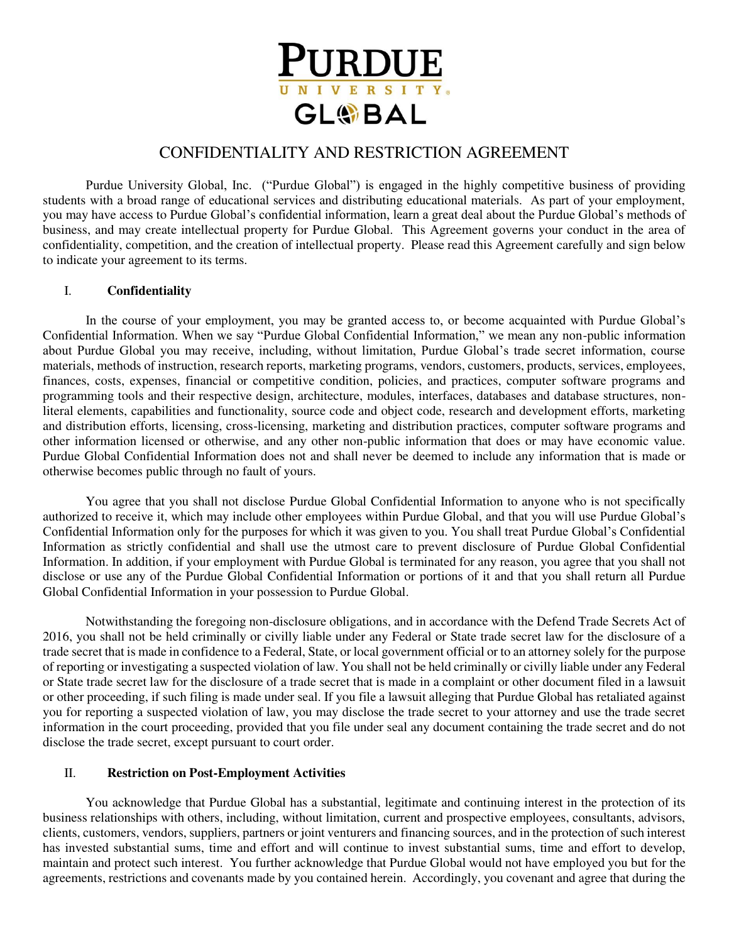

# CONFIDENTIALITY AND RESTRICTION AGREEMENT

Purdue University Global, Inc. ("Purdue Global") is engaged in the highly competitive business of providing students with a broad range of educational services and distributing educational materials. As part of your employment, you may have access to Purdue Global's confidential information, learn a great deal about the Purdue Global's methods of business, and may create intellectual property for Purdue Global. This Agreement governs your conduct in the area of confidentiality, competition, and the creation of intellectual property. Please read this Agreement carefully and sign below to indicate your agreement to its terms.

#### I. **Confidentiality**

In the course of your employment, you may be granted access to, or become acquainted with Purdue Global's Confidential Information. When we say "Purdue Global Confidential Information," we mean any non-public information about Purdue Global you may receive, including, without limitation, Purdue Global's trade secret information, course materials, methods of instruction, research reports, marketing programs, vendors, customers, products, services, employees, finances, costs, expenses, financial or competitive condition, policies, and practices, computer software programs and programming tools and their respective design, architecture, modules, interfaces, databases and database structures, nonliteral elements, capabilities and functionality, source code and object code, research and development efforts, marketing and distribution efforts, licensing, cross-licensing, marketing and distribution practices, computer software programs and other information licensed or otherwise, and any other non-public information that does or may have economic value. Purdue Global Confidential Information does not and shall never be deemed to include any information that is made or otherwise becomes public through no fault of yours.

You agree that you shall not disclose Purdue Global Confidential Information to anyone who is not specifically authorized to receive it, which may include other employees within Purdue Global, and that you will use Purdue Global's Confidential Information only for the purposes for which it was given to you. You shall treat Purdue Global's Confidential Information as strictly confidential and shall use the utmost care to prevent disclosure of Purdue Global Confidential Information. In addition, if your employment with Purdue Global is terminated for any reason, you agree that you shall not disclose or use any of the Purdue Global Confidential Information or portions of it and that you shall return all Purdue Global Confidential Information in your possession to Purdue Global.

Notwithstanding the foregoing non-disclosure obligations, and in accordance with the Defend Trade Secrets Act of 2016, you shall not be held criminally or civilly liable under any Federal or State trade secret law for the disclosure of a trade secret that is made in confidence to a Federal, State, or local government official or to an attorney solely for the purpose of reporting or investigating a suspected violation of law. You shall not be held criminally or civilly liable under any Federal or State trade secret law for the disclosure of a trade secret that is made in a complaint or other document filed in a lawsuit or other proceeding, if such filing is made under seal. If you file a lawsuit alleging that Purdue Global has retaliated against you for reporting a suspected violation of law, you may disclose the trade secret to your attorney and use the trade secret information in the court proceeding, provided that you file under seal any document containing the trade secret and do not disclose the trade secret, except pursuant to court order.

## II. **Restriction on Post-Employment Activities**

You acknowledge that Purdue Global has a substantial, legitimate and continuing interest in the protection of its business relationships with others, including, without limitation, current and prospective employees, consultants, advisors, clients, customers, vendors, suppliers, partners or joint venturers and financing sources, and in the protection of such interest has invested substantial sums, time and effort and will continue to invest substantial sums, time and effort to develop, maintain and protect such interest. You further acknowledge that Purdue Global would not have employed you but for the agreements, restrictions and covenants made by you contained herein. Accordingly, you covenant and agree that during the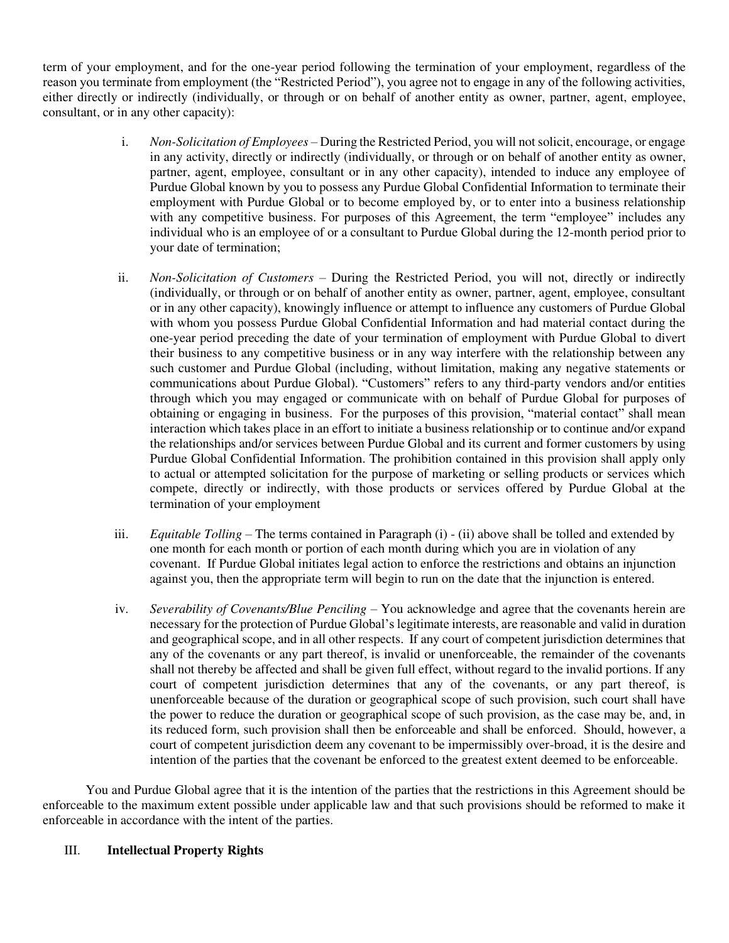term of your employment, and for the one-year period following the termination of your employment, regardless of the reason you terminate from employment (the "Restricted Period"), you agree not to engage in any of the following activities, either directly or indirectly (individually, or through or on behalf of another entity as owner, partner, agent, employee, consultant, or in any other capacity):

- i. *Non-Solicitation of Employees –* During the Restricted Period, you will not solicit, encourage, or engage in any activity, directly or indirectly (individually, or through or on behalf of another entity as owner, partner, agent, employee, consultant or in any other capacity), intended to induce any employee of Purdue Global known by you to possess any Purdue Global Confidential Information to terminate their employment with Purdue Global or to become employed by, or to enter into a business relationship with any competitive business. For purposes of this Agreement, the term "employee" includes any individual who is an employee of or a consultant to Purdue Global during the 12-month period prior to your date of termination;
- ii. *Non-Solicitation of Customers –* During the Restricted Period, you will not, directly or indirectly (individually, or through or on behalf of another entity as owner, partner, agent, employee, consultant or in any other capacity), knowingly influence or attempt to influence any customers of Purdue Global with whom you possess Purdue Global Confidential Information and had material contact during the one-year period preceding the date of your termination of employment with Purdue Global to divert their business to any competitive business or in any way interfere with the relationship between any such customer and Purdue Global (including, without limitation, making any negative statements or communications about Purdue Global). "Customers" refers to any third-party vendors and/or entities through which you may engaged or communicate with on behalf of Purdue Global for purposes of obtaining or engaging in business. For the purposes of this provision, "material contact" shall mean interaction which takes place in an effort to initiate a business relationship or to continue and/or expand the relationships and/or services between Purdue Global and its current and former customers by using Purdue Global Confidential Information. The prohibition contained in this provision shall apply only to actual or attempted solicitation for the purpose of marketing or selling products or services which compete, directly or indirectly, with those products or services offered by Purdue Global at the termination of your employment
- iii. *Equitable Tolling –* The terms contained in Paragraph (i) (ii) above shall be tolled and extended by one month for each month or portion of each month during which you are in violation of any covenant. If Purdue Global initiates legal action to enforce the restrictions and obtains an injunction against you, then the appropriate term will begin to run on the date that the injunction is entered.
- iv. *Severability of Covenants/Blue Penciling* You acknowledge and agree that the covenants herein are necessary for the protection of Purdue Global's legitimate interests, are reasonable and valid in duration and geographical scope, and in all other respects. If any court of competent jurisdiction determines that any of the covenants or any part thereof, is invalid or unenforceable, the remainder of the covenants shall not thereby be affected and shall be given full effect, without regard to the invalid portions. If any court of competent jurisdiction determines that any of the covenants, or any part thereof, is unenforceable because of the duration or geographical scope of such provision, such court shall have the power to reduce the duration or geographical scope of such provision, as the case may be, and, in its reduced form, such provision shall then be enforceable and shall be enforced. Should, however, a court of competent jurisdiction deem any covenant to be impermissibly over-broad, it is the desire and intention of the parties that the covenant be enforced to the greatest extent deemed to be enforceable.

You and Purdue Global agree that it is the intention of the parties that the restrictions in this Agreement should be enforceable to the maximum extent possible under applicable law and that such provisions should be reformed to make it enforceable in accordance with the intent of the parties.

## III. **Intellectual Property Rights**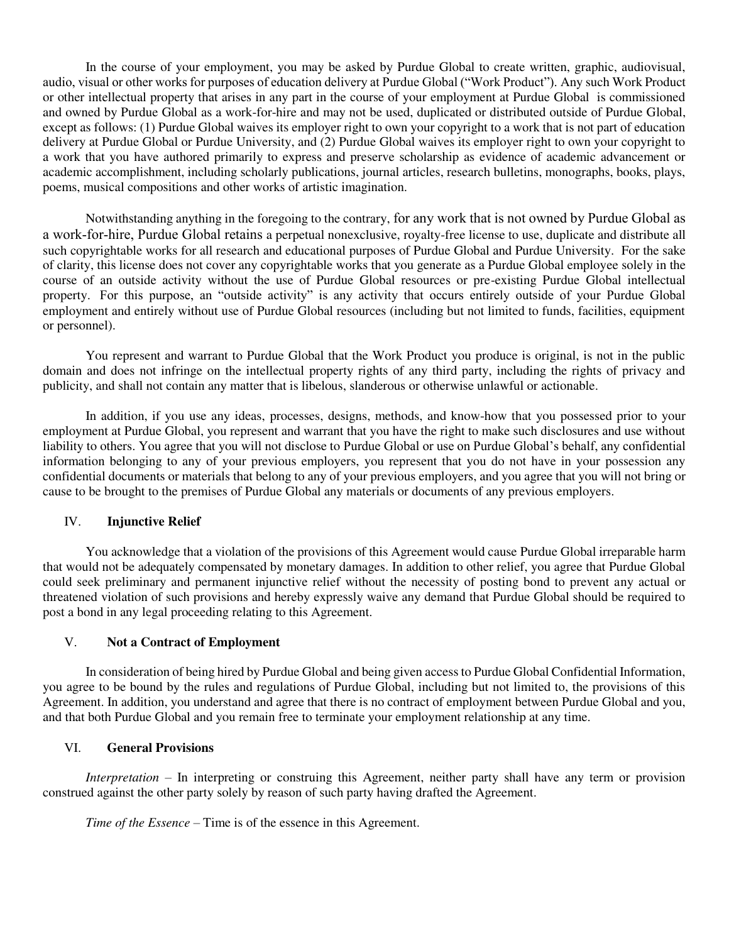In the course of your employment, you may be asked by Purdue Global to create written, graphic, audiovisual, audio, visual or other works for purposes of education delivery at Purdue Global ("Work Product"). Any such Work Product or other intellectual property that arises in any part in the course of your employment at Purdue Global is commissioned and owned by Purdue Global as a work-for-hire and may not be used, duplicated or distributed outside of Purdue Global, except as follows: (1) Purdue Global waives its employer right to own your copyright to a work that is not part of education delivery at Purdue Global or Purdue University, and (2) Purdue Global waives its employer right to own your copyright to a work that you have authored primarily to express and preserve scholarship as evidence of academic advancement or academic accomplishment, including scholarly publications, journal articles, research bulletins, monographs, books, plays, poems, musical compositions and other works of artistic imagination.

Notwithstanding anything in the foregoing to the contrary, for any work that is not owned by Purdue Global as a work-for-hire, Purdue Global retains a perpetual nonexclusive, royalty-free license to use, duplicate and distribute all such copyrightable works for all research and educational purposes of Purdue Global and Purdue University. For the sake of clarity, this license does not cover any copyrightable works that you generate as a Purdue Global employee solely in the course of an outside activity without the use of Purdue Global resources or pre-existing Purdue Global intellectual property. For this purpose, an "outside activity" is any activity that occurs entirely outside of your Purdue Global employment and entirely without use of Purdue Global resources (including but not limited to funds, facilities, equipment or personnel).

You represent and warrant to Purdue Global that the Work Product you produce is original, is not in the public domain and does not infringe on the intellectual property rights of any third party, including the rights of privacy and publicity, and shall not contain any matter that is libelous, slanderous or otherwise unlawful or actionable.

In addition, if you use any ideas, processes, designs, methods, and know-how that you possessed prior to your employment at Purdue Global, you represent and warrant that you have the right to make such disclosures and use without liability to others. You agree that you will not disclose to Purdue Global or use on Purdue Global's behalf, any confidential information belonging to any of your previous employers, you represent that you do not have in your possession any confidential documents or materials that belong to any of your previous employers, and you agree that you will not bring or cause to be brought to the premises of Purdue Global any materials or documents of any previous employers.

## IV. **Injunctive Relief**

You acknowledge that a violation of the provisions of this Agreement would cause Purdue Global irreparable harm that would not be adequately compensated by monetary damages. In addition to other relief, you agree that Purdue Global could seek preliminary and permanent injunctive relief without the necessity of posting bond to prevent any actual or threatened violation of such provisions and hereby expressly waive any demand that Purdue Global should be required to post a bond in any legal proceeding relating to this Agreement.

## V. **Not a Contract of Employment**

In consideration of being hired by Purdue Global and being given access to Purdue Global Confidential Information, you agree to be bound by the rules and regulations of Purdue Global, including but not limited to, the provisions of this Agreement. In addition, you understand and agree that there is no contract of employment between Purdue Global and you, and that both Purdue Global and you remain free to terminate your employment relationship at any time.

#### VI. **General Provisions**

*Interpretation* – In interpreting or construing this Agreement, neither party shall have any term or provision construed against the other party solely by reason of such party having drafted the Agreement.

*Time of the Essence* – Time is of the essence in this Agreement.